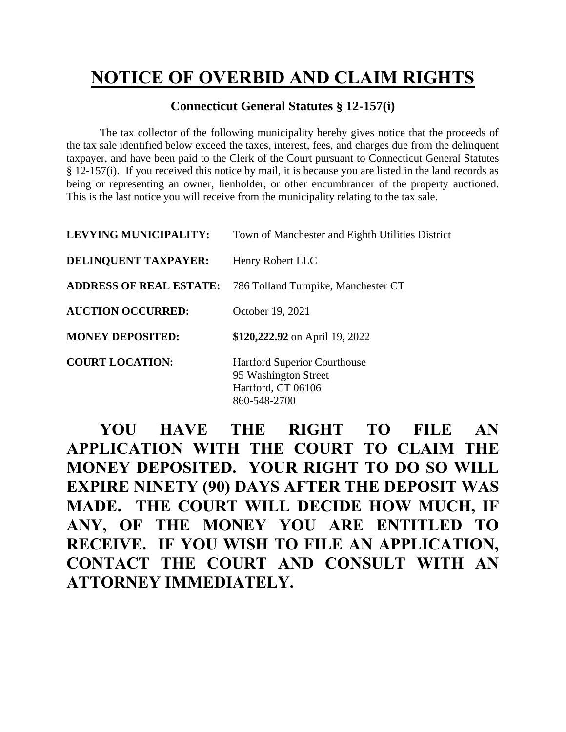## **NOTICE OF OVERBID AND CLAIM RIGHTS**

## **Connecticut General Statutes § 12-157(i)**

The tax collector of the following municipality hereby gives notice that the proceeds of the tax sale identified below exceed the taxes, interest, fees, and charges due from the delinquent taxpayer, and have been paid to the Clerk of the Court pursuant to Connecticut General Statutes § 12-157(i). If you received this notice by mail, it is because you are listed in the land records as being or representing an owner, lienholder, or other encumbrancer of the property auctioned. This is the last notice you will receive from the municipality relating to the tax sale.

| <b>LEVYING MUNICIPALITY:</b>   | Town of Manchester and Eighth Utilities District                                                  |  |
|--------------------------------|---------------------------------------------------------------------------------------------------|--|
| <b>DELINQUENT TAXPAYER:</b>    | Henry Robert LLC                                                                                  |  |
| <b>ADDRESS OF REAL ESTATE:</b> | 786 Tolland Turnpike, Manchester CT                                                               |  |
| <b>AUCTION OCCURRED:</b>       | October 19, 2021                                                                                  |  |
| <b>MONEY DEPOSITED:</b>        | \$120,222.92 on April 19, 2022                                                                    |  |
| <b>COURT LOCATION:</b>         | <b>Hartford Superior Courthouse</b><br>95 Washington Street<br>Hartford, CT 06106<br>860-548-2700 |  |

**YOU HAVE THE RIGHT TO FILE AN APPLICATION WITH THE COURT TO CLAIM THE MONEY DEPOSITED. YOUR RIGHT TO DO SO WILL EXPIRE NINETY (90) DAYS AFTER THE DEPOSIT WAS MADE. THE COURT WILL DECIDE HOW MUCH, IF ANY, OF THE MONEY YOU ARE ENTITLED TO RECEIVE. IF YOU WISH TO FILE AN APPLICATION, CONTACT THE COURT AND CONSULT WITH AN ATTORNEY IMMEDIATELY.**